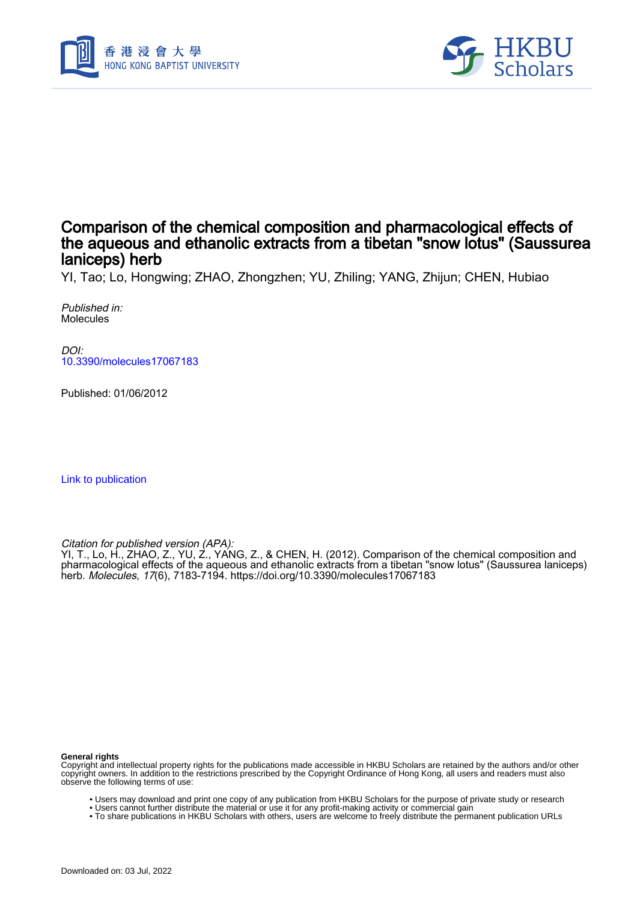



## Comparison of the chemical composition and pharmacological effects of the aqueous and ethanolic extracts from a tibetan "snow lotus" (Saussurea laniceps) herb

YI, Tao; Lo, Hongwing; ZHAO, Zhongzhen; YU, Zhiling; YANG, Zhijun; CHEN, Hubiao

Published in: Molecules

DOI: [10.3390/molecules17067183](https://doi.org/10.3390/molecules17067183)

Published: 01/06/2012

[Link to publication](https://scholars.hkbu.edu.hk/en/publications/d24b7473-43f0-44c6-ba9d-d11f81cbbada)

Citation for published version (APA):

YI, T., Lo, H., ZHAO, Z., YU, Z., YANG, Z., & CHEN, H. (2012). Comparison of the chemical composition and pharmacological effects of the aqueous and ethanolic extracts from a tibetan "snow lotus" (Saussurea laniceps) herb. Molecules, 17(6), 7183-7194.<https://doi.org/10.3390/molecules17067183>

#### **General rights**

Copyright and intellectual property rights for the publications made accessible in HKBU Scholars are retained by the authors and/or other copyright owners. In addition to the restrictions prescribed by the Copyright Ordinance of Hong Kong, all users and readers must also observe the following terms of use:

- Users may download and print one copy of any publication from HKBU Scholars for the purpose of private study or research
- Users cannot further distribute the material or use it for any profit-making activity or commercial gain
- To share publications in HKBU Scholars with others, users are welcome to freely distribute the permanent publication URLs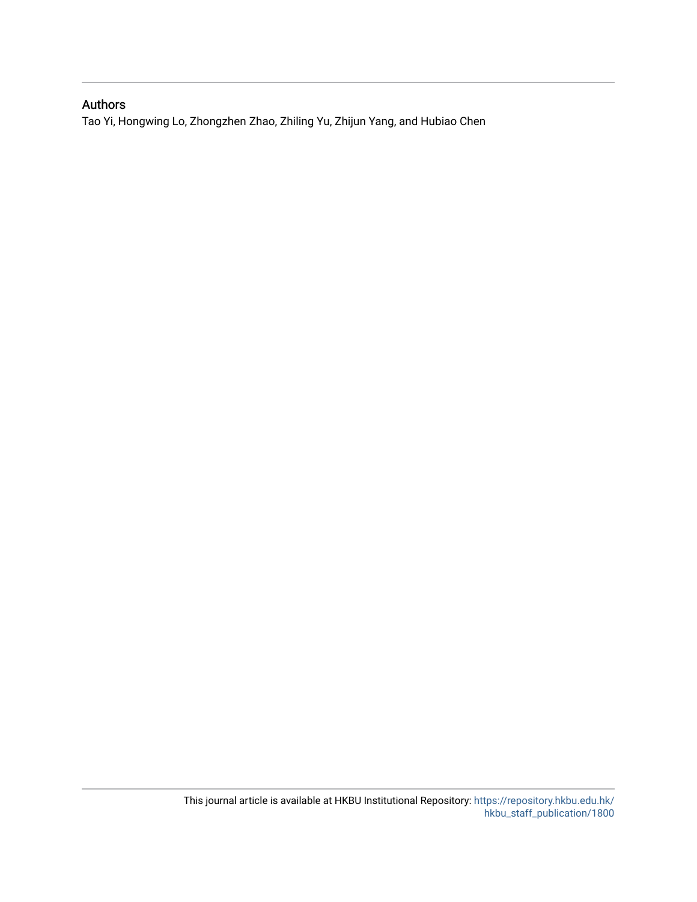### Authors

Tao Yi, Hongwing Lo, Zhongzhen Zhao, Zhiling Yu, Zhijun Yang, and Hubiao Chen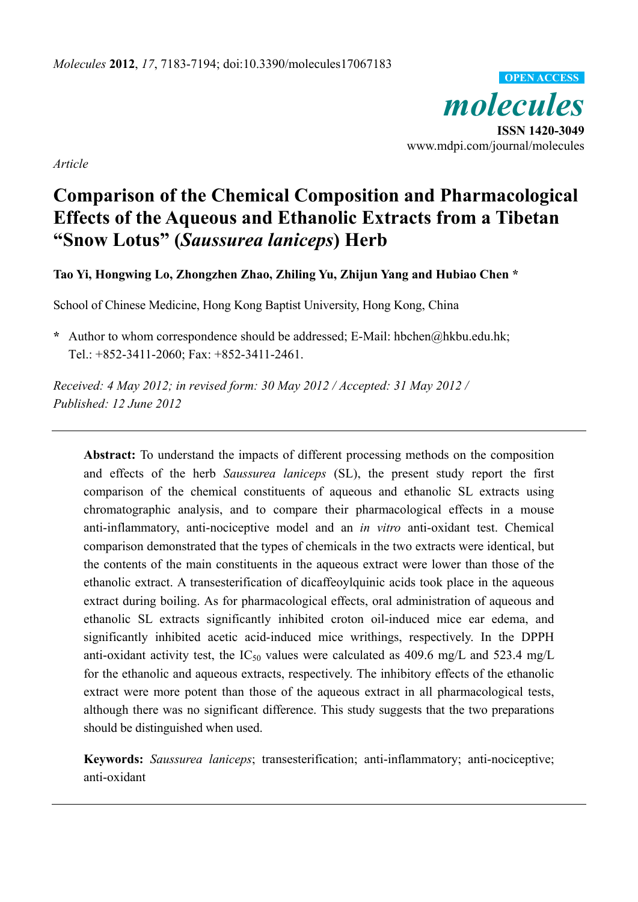*molecules*  **ISSN 1420-3049**  www.mdpi.com/journal/molecules **OPEN ACCESS**

*Article* 

# **Comparison of the Chemical Composition and Pharmacological Effects of the Aqueous and Ethanolic Extracts from a Tibetan "Snow Lotus" (***Saussurea laniceps***) Herb**

**Tao Yi, Hongwing Lo, Zhongzhen Zhao, Zhiling Yu, Zhijun Yang and Hubiao Chen \*** 

School of Chinese Medicine, Hong Kong Baptist University, Hong Kong, China

**\*** Author to whom correspondence should be addressed; E-Mail: hbchen@hkbu.edu.hk; Tel.: +852-3411-2060; Fax: +852-3411-2461.

*Received: 4 May 2012; in revised form: 30 May 2012 / Accepted: 31 May 2012 / Published: 12 June 2012* 

**Abstract:** To understand the impacts of different processing methods on the composition and effects of the herb *Saussurea laniceps* (SL), the present study report the first comparison of the chemical constituents of aqueous and ethanolic SL extracts using chromatographic analysis, and to compare their pharmacological effects in a mouse anti-inflammatory, anti-nociceptive model and an *in vitro* anti-oxidant test. Chemical comparison demonstrated that the types of chemicals in the two extracts were identical, but the contents of the main constituents in the aqueous extract were lower than those of the ethanolic extract. A transesterification of dicaffeoylquinic acids took place in the aqueous extract during boiling. As for pharmacological effects, oral administration of aqueous and ethanolic SL extracts significantly inhibited croton oil-induced mice ear edema, and significantly inhibited acetic acid-induced mice writhings, respectively. In the DPPH anti-oxidant activity test, the  $IC_{50}$  values were calculated as 409.6 mg/L and 523.4 mg/L for the ethanolic and aqueous extracts, respectively. The inhibitory effects of the ethanolic extract were more potent than those of the aqueous extract in all pharmacological tests, although there was no significant difference. This study suggests that the two preparations should be distinguished when used.

**Keywords:** *Saussurea laniceps*; transesterification; anti-inflammatory; anti-nociceptive; anti-oxidant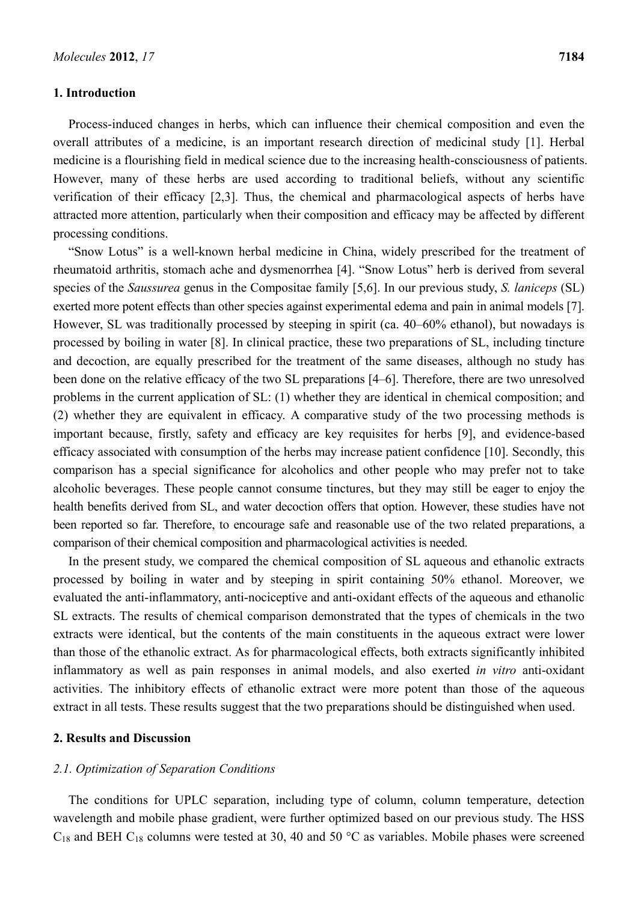#### **1. Introduction**

Process-induced changes in herbs, which can influence their chemical composition and even the overall attributes of a medicine, is an important research direction of medicinal study [1]. Herbal medicine is a flourishing field in medical science due to the increasing health-consciousness of patients. However, many of these herbs are used according to traditional beliefs, without any scientific verification of their efficacy [2,3]. Thus, the chemical and pharmacological aspects of herbs have attracted more attention, particularly when their composition and efficacy may be affected by different processing conditions.

"Snow Lotus" is a well-known herbal medicine in China, widely prescribed for the treatment of rheumatoid arthritis, stomach ache and dysmenorrhea [4]. "Snow Lotus" herb is derived from several species of the *Saussurea* genus in the Compositae family [5,6]. In our previous study, *S. laniceps* (SL) exerted more potent effects than other species against experimental edema and pain in animal models [7]. However, SL was traditionally processed by steeping in spirit (ca. 40–60% ethanol), but nowadays is processed by boiling in water [8]. In clinical practice, these two preparations of SL, including tincture and decoction, are equally prescribed for the treatment of the same diseases, although no study has been done on the relative efficacy of the two SL preparations [4–6]. Therefore, there are two unresolved problems in the current application of SL: (1) whether they are identical in chemical composition; and (2) whether they are equivalent in efficacy. A comparative study of the two processing methods is important because, firstly, safety and efficacy are key requisites for herbs [9], and evidence-based efficacy associated with consumption of the herbs may increase patient confidence [10]. Secondly, this comparison has a special significance for alcoholics and other people who may prefer not to take alcoholic beverages. These people cannot consume tinctures, but they may still be eager to enjoy the health benefits derived from SL, and water decoction offers that option. However, these studies have not been reported so far. Therefore, to encourage safe and reasonable use of the two related preparations, a comparison of their chemical composition and pharmacological activities is needed.

In the present study, we compared the chemical composition of SL aqueous and ethanolic extracts processed by boiling in water and by steeping in spirit containing 50% ethanol. Moreover, we evaluated the anti-inflammatory, anti-nociceptive and anti-oxidant effects of the aqueous and ethanolic SL extracts. The results of chemical comparison demonstrated that the types of chemicals in the two extracts were identical, but the contents of the main constituents in the aqueous extract were lower than those of the ethanolic extract. As for pharmacological effects, both extracts significantly inhibited inflammatory as well as pain responses in animal models, and also exerted *in vitro* anti-oxidant activities. The inhibitory effects of ethanolic extract were more potent than those of the aqueous extract in all tests. These results suggest that the two preparations should be distinguished when used.

#### **2. Results and Discussion**

#### *2.1. Optimization of Separation Conditions*

The conditions for UPLC separation, including type of column, column temperature, detection wavelength and mobile phase gradient, were further optimized based on our previous study. The HSS  $C_{18}$  and BEH  $C_{18}$  columns were tested at 30, 40 and 50 °C as variables. Mobile phases were screened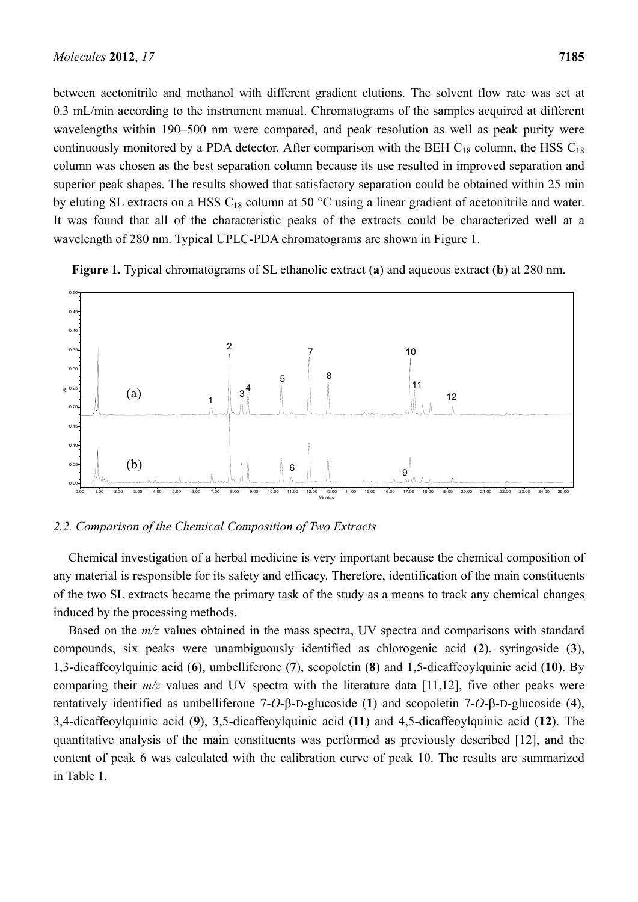between acetonitrile and methanol with different gradient elutions. The solvent flow rate was set at 0.3 mL/min according to the instrument manual. Chromatograms of the samples acquired at different wavelengths within 190–500 nm were compared, and peak resolution as well as peak purity were continuously monitored by a PDA detector. After comparison with the BEH  $C_{18}$  column, the HSS  $C_{18}$ column was chosen as the best separation column because its use resulted in improved separation and superior peak shapes. The results showed that satisfactory separation could be obtained within 25 min by eluting SL extracts on a HSS  $C_{18}$  column at 50 °C using a linear gradient of acetonitrile and water. It was found that all of the characteristic peaks of the extracts could be characterized well at a wavelength of 280 nm. Typical UPLC-PDA chromatograms are shown in Figure 1.





*2.2. Comparison of the Chemical Composition of Two Extracts*

Chemical investigation of a herbal medicine is very important because the chemical composition of any material is responsible for its safety and efficacy. Therefore, identification of the main constituents of the two SL extracts became the primary task of the study as a means to track any chemical changes induced by the processing methods.

Example 1. AU 0.15<br>
Sales 1.5<br>
Sales 1.5<br>
Sales 1.5<br>
One Chemica<br>
2.2. Compa<br>
Chemica<br>
any materia<br>
of the two<br>
induced by<br>
Based o<br>
compounds<br>
1,3-dicaffe<br>
quantitatively<br>
3,4-dicaffe<br>
quantitative 5<br>
content of in Table Based on the  $m/z$  values obtained in the mass spectra, UV spectra and comparisons with standard compounds, six peaks were unambiguously identified as chlorogenic acid (**2**), syringoside (**3**), 1,3-dicaffeoylquinic acid (**6**), umbelliferone (**7**), scopoletin (**8**) and 1,5-dicaffeoylquinic acid (**10**). By comparing their  $m/z$  values and UV spectra with the literature data [11,12], five other peaks were tentatively identified as umbelliferone  $7$ - $O$ - $\beta$ - $D$ -glucoside (1) and scopoletin  $7$ - $O$ - $\beta$ - $D$ -glucoside (4), 3,4-dicaffeoylquinic acid (**9**), 3,5-dicaffeoylquinic acid (**11**) and 4,5-dicaffeoylquinic acid (**12**). The quantitative analysis of the main constituents was performed as previously described [12], and the content of peak 6 was calculated with the calibration curve of peak 10. The results are summarized in Table 1.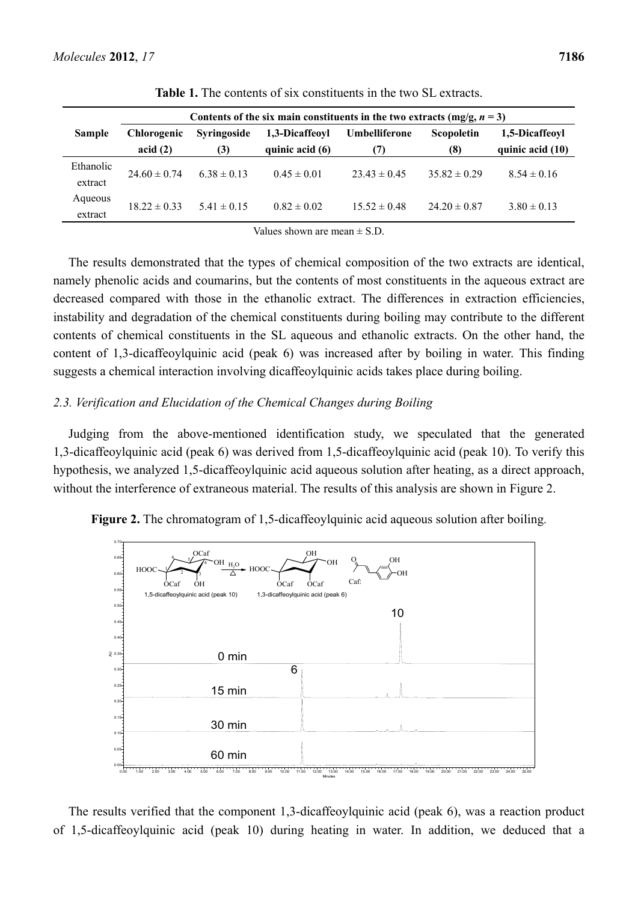|               | Contents of the six main constituents in the two extracts (mg/g, $n = 3$ ) |                           |                                   |                      |                          |                                    |  |
|---------------|----------------------------------------------------------------------------|---------------------------|-----------------------------------|----------------------|--------------------------|------------------------------------|--|
| <b>Sample</b> | <b>Chlorogenic</b><br>acid(2)                                              | <b>Syringoside</b><br>(3) | 1,3-Dicaffeovl<br>quinic acid (6) | Umbelliferone<br>(7) | <b>Scopoletin</b><br>(8) | 1,5-Dicaffeoyl<br>quinic acid (10) |  |
| Ethanolic     |                                                                            |                           |                                   |                      |                          |                                    |  |
| extract       | $24.60 \pm 0.74$                                                           | $6.38 \pm 0.13$           | $0.45 \pm 0.01$                   | $23.43 \pm 0.45$     | $35.82 \pm 0.29$         | $8.54 \pm 0.16$                    |  |
| Aqueous       | $1822 \pm 033$                                                             | $5.41 \pm 0.15$           | $0.82 \pm 0.02$                   | $15.52 \pm 0.48$     | $24.20 \pm 0.87$         | $3.80 \pm 0.13$                    |  |
| extract       |                                                                            |                           |                                   |                      |                          |                                    |  |

**Table 1.** The contents of six constituents in the two SL extracts.

Values shown are mean  $\pm$  S.D.

The results demonstrated that the types of chemical composition of the two extracts are identical, namely phenolic acids and coumarins, but the contents of most constituents in the aqueous extract are decreased compared with those in the ethanolic extract. The differences in extraction efficiencies, instability and degradation of the chemical constituents during boiling may contribute to the different contents of chemical constituents in the SL aqueous and ethanolic extracts. On the other hand, the content of 1,3-dicaffeoylquinic acid (peak 6) was increased after by boiling in water. This finding suggests a chemical interaction involving dicaffeoylquinic acids takes place during boiling.

#### *2.3. Verification and Elucidation of the Chemical Changes during Boiling*

Judging from the above-mentioned identification study, we speculated that the generated 1,3-dicaffeoylquinic acid (peak 6) was derived from 1,5-dicaffeoylquinic acid (peak 10). To verify this hypothesis, we analyzed 1,5-dicaffeoylquinic acid aqueous solution after heating, as a direct approach, without the interference of extraneous material. The results of this analysis are shown in Figure 2.



**Figure 2.** The chromatogram of 1,5-dicaffeoylquinic acid aqueous solution after boiling.

The results verified that the component 1,3-dicaffeoylquinic acid (peak 6), was a reaction product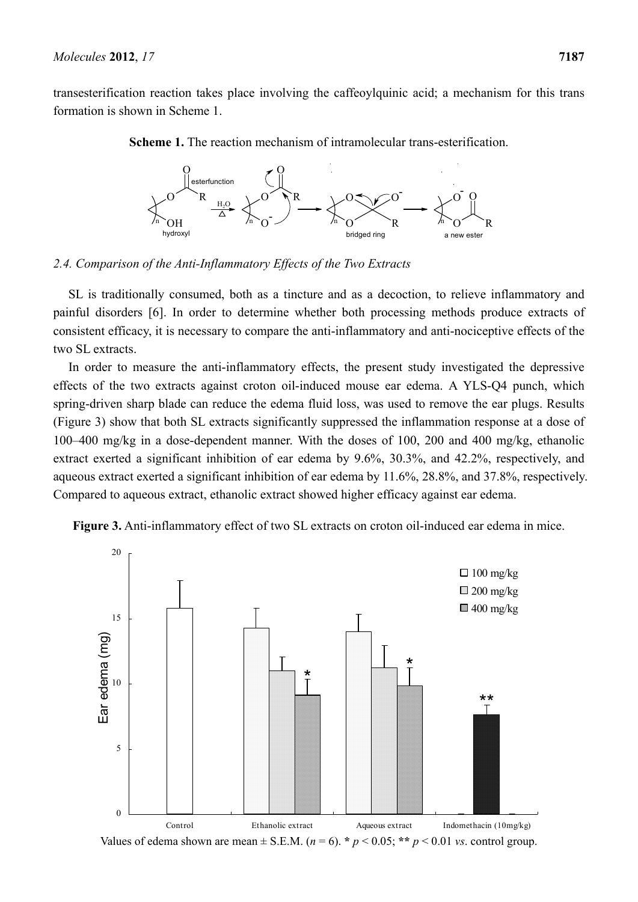transesterification reaction takes place involving the caffeoylquinic acid; a mechanism for this trans formation is shown in Scheme 1.



**Scheme 1.** The reaction mechanism of intramolecular trans-esterification.

#### *2.4. Comparison of the Anti-Inflammatory Effects of the Two Extracts*

SL is traditionally consumed, both as a tincture and as a decoction, to relieve inflammatory and painful disorders [6]. In order to determine whether both processing methods produce extracts of consistent efficacy, it is necessary to compare the anti-inflammatory and anti-nociceptive effects of the two SL extracts.

In order to measure the anti-inflammatory effects, the present study investigated the depressive effects of the two extracts against croton oil-induced mouse ear edema. A YLS-Q4 punch, which spring-driven sharp blade can reduce the edema fluid loss, was used to remove the ear plugs. Results (Figure 3) show that both SL extracts significantly suppressed the inflammation response at a dose of 100–400 mg/kg in a dose-dependent manner. With the doses of 100, 200 and 400 mg/kg, ethanolic extract exerted a significant inhibition of ear edema by 9.6%, 30.3%, and 42.2%, respectively, and aqueous extract exerted a significant inhibition of ear edema by 11.6%, 28.8%, and 37.8%, respectively. Compared to aqueous extract, ethanolic extract showed higher efficacy against ear edema.



**Figure 3.** Anti-inflammatory effect of two SL extracts on croton oil-induced ear edema in mice.

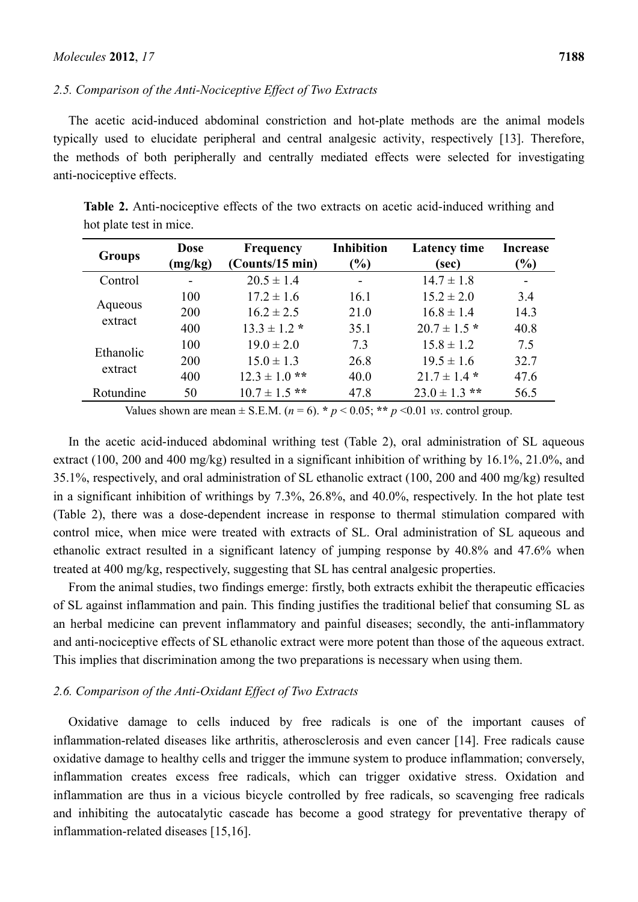#### *2.5. Comparison of the Anti-Nociceptive Effect of Two Extracts*

The acetic acid-induced abdominal constriction and hot-plate methods are the animal models typically used to elucidate peripheral and central analgesic activity, respectively [13]. Therefore, the methods of both peripherally and centrally mediated effects were selected for investigating anti-nociceptive effects.

| <b>Groups</b> | <b>Dose</b><br>(mg/kg) | <b>Frequency</b><br>(Counts/15 min) | <b>Inhibition</b><br>$\frac{1}{2}$ | <b>Latency time</b><br>(sec) | Increase<br>$\frac{9}{0}$ |
|---------------|------------------------|-------------------------------------|------------------------------------|------------------------------|---------------------------|
| Control       | -                      | $20.5 \pm 1.4$                      | -                                  | $14.7 \pm 1.8$               | $\overline{\phantom{a}}$  |
|               | 100                    | $17.2 \pm 1.6$                      | 16.1                               | $15.2 \pm 2.0$               | 3.4                       |
| Aqueous       | 200                    | $16.2 \pm 2.5$                      | 21.0                               | $16.8 \pm 1.4$               | 14.3                      |
| extract       | 400                    | $13.3 \pm 1.2$ *                    | 35.1                               | $20.7 \pm 1.5$ *             | 40.8                      |
|               | 100                    | $19.0 \pm 2.0$                      | 7.3                                | $15.8 \pm 1.2$               | 7.5                       |
| Ethanolic     | 200                    | $15.0 \pm 1.3$                      | 26.8                               | $19.5 \pm 1.6$               | 32.7                      |
| extract       | 400                    | $12.3 \pm 1.0$ **                   | 40.0                               | $21.7 \pm 1.4$ *             | 47.6                      |
| Rotundine     | 50                     | $10.7 \pm 1.5$ **                   | 47.8                               | $23.0 \pm 1.3$ **            | 56.5                      |

**Table 2.** Anti-nociceptive effects of the two extracts on acetic acid-induced writhing and hot plate test in mice.

Values shown are mean  $\pm$  S.E.M. ( $n = 6$ ).  $\star p < 0.05$ ;  $\star \star p < 0.01$  *vs.* control group.

In the acetic acid-induced abdominal writhing test (Table 2), oral administration of SL aqueous extract (100, 200 and 400 mg/kg) resulted in a significant inhibition of writhing by 16.1%, 21.0%, and 35.1%, respectively, and oral administration of SL ethanolic extract (100, 200 and 400 mg/kg) resulted in a significant inhibition of writhings by 7.3%, 26.8%, and 40.0%, respectively. In the hot plate test (Table 2), there was a dose-dependent increase in response to thermal stimulation compared with control mice, when mice were treated with extracts of SL. Oral administration of SL aqueous and ethanolic extract resulted in a significant latency of jumping response by 40.8% and 47.6% when treated at 400 mg/kg, respectively, suggesting that SL has central analgesic properties.

From the animal studies, two findings emerge: firstly, both extracts exhibit the therapeutic efficacies of SL against inflammation and pain. This finding justifies the traditional belief that consuming SL as an herbal medicine can prevent inflammatory and painful diseases; secondly, the anti-inflammatory and anti-nociceptive effects of SL ethanolic extract were more potent than those of the aqueous extract. This implies that discrimination among the two preparations is necessary when using them.

#### *2.6. Comparison of the Anti-Oxidant Effect of Two Extracts*

Oxidative damage to cells induced by free radicals is one of the important causes of inflammation-related diseases like arthritis, atherosclerosis and even cancer [14]. Free radicals cause oxidative damage to healthy cells and trigger the immune system to produce inflammation; conversely, inflammation creates excess free radicals, which can trigger oxidative stress. Oxidation and inflammation are thus in a vicious bicycle controlled by free radicals, so scavenging free radicals and inhibiting the autocatalytic cascade has become a good strategy for preventative therapy of inflammation-related diseases [15,16].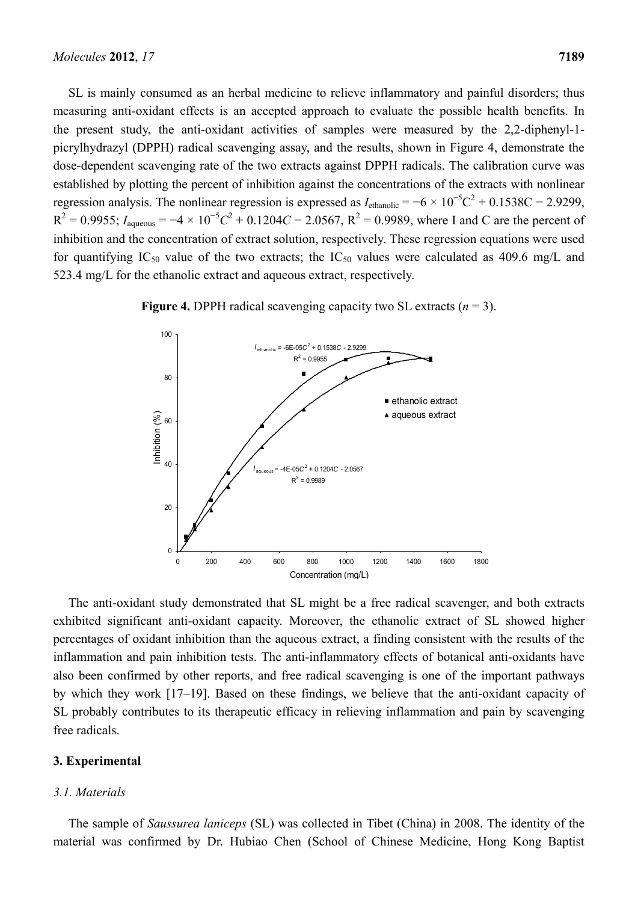SL is mainly consumed as an herbal medicine to relieve inflammatory and painful disorders; thus measuring anti-oxidant effects is an accepted approach to evaluate the possible health benefits. In the present study, the anti-oxidant activities of samples were measured by the 2,2-diphenyl-1 picrylhydrazyl (DPPH) radical scavenging assay, and the results, shown in Figure 4, demonstrate the dose-dependent scavenging rate of the two extracts against DPPH radicals. The calibration curve was established by plotting the percent of inhibition against the concentrations of the extracts with nonlinear regression analysis. The nonlinear regression is expressed as  $I_{\text{ethanolic}} = -6 \times 10^{-5} \text{C}^2 + 0.1538 \text{C} - 2.9299$ ,  $R^2 = 0.9955$ ;  $I_{\text{aqueous}} = -4 \times 10^{-5}C^2 + 0.1204C - 2.0567$ ,  $R^2 = 0.9989$ , where I and C are the percent of inhibition and the concentration of extract solution, respectively. These regression equations were used for quantifying IC<sub>50</sub> value of the two extracts; the IC<sub>50</sub> values were calculated as 409.6 mg/L and 523.4 mg/L for the ethanolic extract and aqueous extract, respectively.



**Figure 4.** DPPH radical scavenging capacity two SL extracts (*n* = 3).

The anti-oxidant study demonstrated that SL might be a free radical scavenger, and both extracts exhibited significant anti-oxidant capacity. Moreover, the ethanolic extract of SL showed higher percentages of oxidant inhibition than the aqueous extract, a finding consistent with the results of the inflammation and pain inhibition tests. The anti-inflammatory effects of botanical anti-oxidants have also been confirmed by other reports, and free radical scavenging is one of the important pathways by which they work [17–19]. Based on these findings, we believe that the anti-oxidant capacity of SL probably contributes to its therapeutic efficacy in relieving inflammation and pain by scavenging free radicals.

#### **3. Experimental**

#### *3.1. Materials*

The sample of *Saussurea laniceps* (SL) was collected in Tibet (China) in 2008. The identity of the material was confirmed by Dr. Hubiao Chen (School of Chinese Medicine, Hong Kong Baptist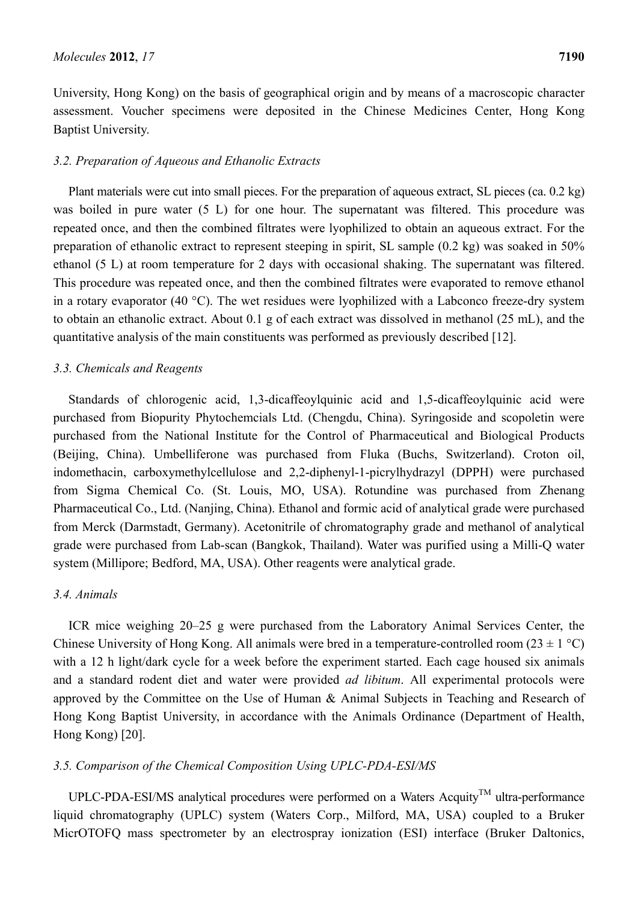University, Hong Kong) on the basis of geographical origin and by means of a macroscopic character assessment. Voucher specimens were deposited in the Chinese Medicines Center, Hong Kong Baptist University.

#### *3.2. Preparation of Aqueous and Ethanolic Extracts*

Plant materials were cut into small pieces. For the preparation of aqueous extract, SL pieces (ca. 0.2 kg) was boiled in pure water (5 L) for one hour. The supernatant was filtered. This procedure was repeated once, and then the combined filtrates were lyophilized to obtain an aqueous extract. For the preparation of ethanolic extract to represent steeping in spirit, SL sample (0.2 kg) was soaked in 50% ethanol (5 L) at room temperature for 2 days with occasional shaking. The supernatant was filtered. This procedure was repeated once, and then the combined filtrates were evaporated to remove ethanol in a rotary evaporator (40 °C). The wet residues were lyophilized with a Labconco freeze-dry system to obtain an ethanolic extract. About 0.1 g of each extract was dissolved in methanol (25 mL), and the quantitative analysis of the main constituents was performed as previously described [12].

#### *3.3. Chemicals and Reagents*

Standards of chlorogenic acid, 1,3-dicaffeoylquinic acid and 1,5-dicaffeoylquinic acid were purchased from Biopurity Phytochemcials Ltd. (Chengdu, China). Syringoside and scopoletin were purchased from the National Institute for the Control of Pharmaceutical and Biological Products (Beijing, China). Umbelliferone was purchased from Fluka (Buchs, Switzerland). Croton oil, indomethacin, carboxymethylcellulose and 2,2-diphenyl-1-picrylhydrazyl (DPPH) were purchased from Sigma Chemical Co. (St. Louis, MO, USA). Rotundine was purchased from Zhenang Pharmaceutical Co., Ltd. (Nanjing, China). Ethanol and formic acid of analytical grade were purchased from Merck (Darmstadt, Germany). Acetonitrile of chromatography grade and methanol of analytical grade were purchased from Lab-scan (Bangkok, Thailand). Water was purified using a Milli-Q water system (Millipore; Bedford, MA, USA). Other reagents were analytical grade.

#### *3.4. Animals*

ICR mice weighing 20–25 g were purchased from the Laboratory Animal Services Center, the Chinese University of Hong Kong. All animals were bred in a temperature-controlled room  $(23 \pm 1 \degree C)$ with a 12 h light/dark cycle for a week before the experiment started. Each cage housed six animals and a standard rodent diet and water were provided *ad libitum*. All experimental protocols were approved by the Committee on the Use of Human & Animal Subjects in Teaching and Research of Hong Kong Baptist University, in accordance with the Animals Ordinance (Department of Health, Hong Kong) [20].

#### *3.5. Comparison of the Chemical Composition Using UPLC-PDA-ESI/MS*

UPLC-PDA-ESI/MS analytical procedures were performed on a Waters Acquity<sup>TM</sup> ultra-performance liquid chromatography (UPLC) system (Waters Corp., Milford, MA, USA) coupled to a Bruker MicrOTOFQ mass spectrometer by an electrospray ionization (ESI) interface (Bruker Daltonics,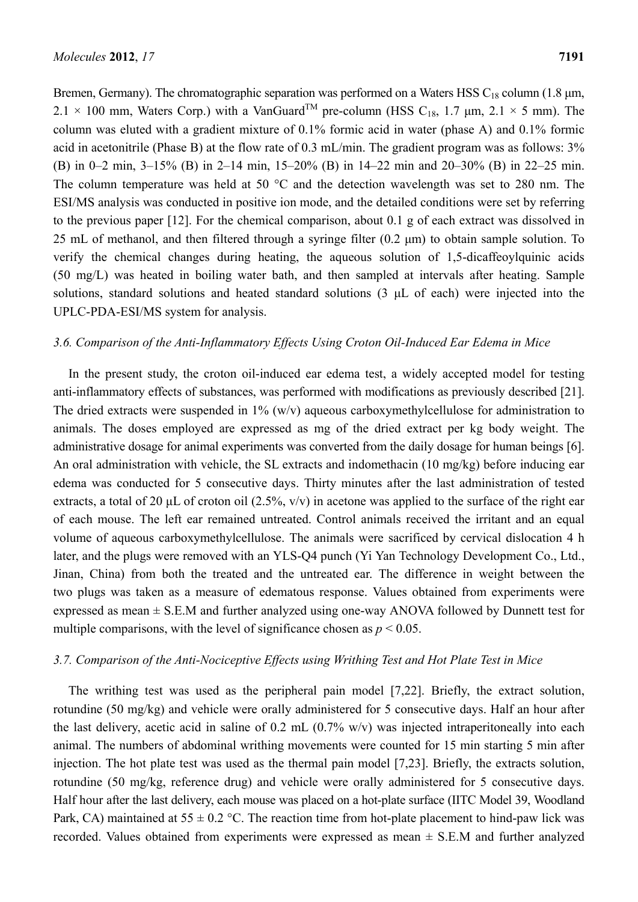Bremen, Germany). The chromatographic separation was performed on a Waters HSS  $C_{18}$  column (1.8  $\mu$ m, 2.1 × 100 mm, Waters Corp.) with a VanGuard<sup>TM</sup> pre-column (HSS C<sub>18</sub>, 1.7 µm, 2.1 × 5 mm). The column was eluted with a gradient mixture of 0.1% formic acid in water (phase A) and 0.1% formic acid in acetonitrile (Phase B) at the flow rate of 0.3 mL/min. The gradient program was as follows: 3% (B) in 0–2 min, 3–15% (B) in 2–14 min, 15–20% (B) in 14–22 min and 20–30% (B) in 22–25 min. The column temperature was held at 50 °C and the detection wavelength was set to 280 nm. The ESI/MS analysis was conducted in positive ion mode, and the detailed conditions were set by referring to the previous paper [12]. For the chemical comparison, about 0.1 g of each extract was dissolved in 25 mL of methanol, and then filtered through a syringe filter (0.2 μm) to obtain sample solution. To verify the chemical changes during heating, the aqueous solution of 1,5-dicaffeoylquinic acids (50 mg/L) was heated in boiling water bath, and then sampled at intervals after heating. Sample solutions, standard solutions and heated standard solutions (3 μL of each) were injected into the UPLC-PDA-ESI/MS system for analysis.

#### *3.6. Comparison of the Anti-Inflammatory Effects Using Croton Oil-Induced Ear Edema in Mice*

In the present study, the croton oil-induced ear edema test, a widely accepted model for testing anti-inflammatory effects of substances, was performed with modifications as previously described [21]. The dried extracts were suspended in  $1\%$  (w/v) aqueous carboxymethylcellulose for administration to animals. The doses employed are expressed as mg of the dried extract per kg body weight. The administrative dosage for animal experiments was converted from the daily dosage for human beings [6]. An oral administration with vehicle, the SL extracts and indomethacin (10 mg/kg) before inducing ear edema was conducted for 5 consecutive days. Thirty minutes after the last administration of tested extracts, a total of 20  $\mu$ L of croton oil (2.5%, v/v) in acetone was applied to the surface of the right ear of each mouse. The left ear remained untreated. Control animals received the irritant and an equal volume of aqueous carboxymethylcellulose. The animals were sacrificed by cervical dislocation 4 h later, and the plugs were removed with an YLS-Q4 punch (Yi Yan Technology Development Co., Ltd., Jinan, China) from both the treated and the untreated ear. The difference in weight between the two plugs was taken as a measure of edematous response. Values obtained from experiments were expressed as mean  $\pm$  S.E.M and further analyzed using one-way ANOVA followed by Dunnett test for multiple comparisons, with the level of significance chosen as  $p \le 0.05$ .

#### *3.7. Comparison of the Anti-Nociceptive Effects using Writhing Test and Hot Plate Test in Mice*

The writhing test was used as the peripheral pain model [7,22]. Briefly, the extract solution, rotundine (50 mg/kg) and vehicle were orally administered for 5 consecutive days. Half an hour after the last delivery, acetic acid in saline of 0.2 mL (0.7% w/v) was injected intraperitoneally into each animal. The numbers of abdominal writhing movements were counted for 15 min starting 5 min after injection. The hot plate test was used as the thermal pain model [7,23]. Briefly, the extracts solution, rotundine (50 mg/kg, reference drug) and vehicle were orally administered for 5 consecutive days. Half hour after the last delivery, each mouse was placed on a hot-plate surface (IITC Model 39, Woodland Park, CA) maintained at  $55 \pm 0.2$  °C. The reaction time from hot-plate placement to hind-paw lick was recorded. Values obtained from experiments were expressed as mean  $\pm$  S.E.M and further analyzed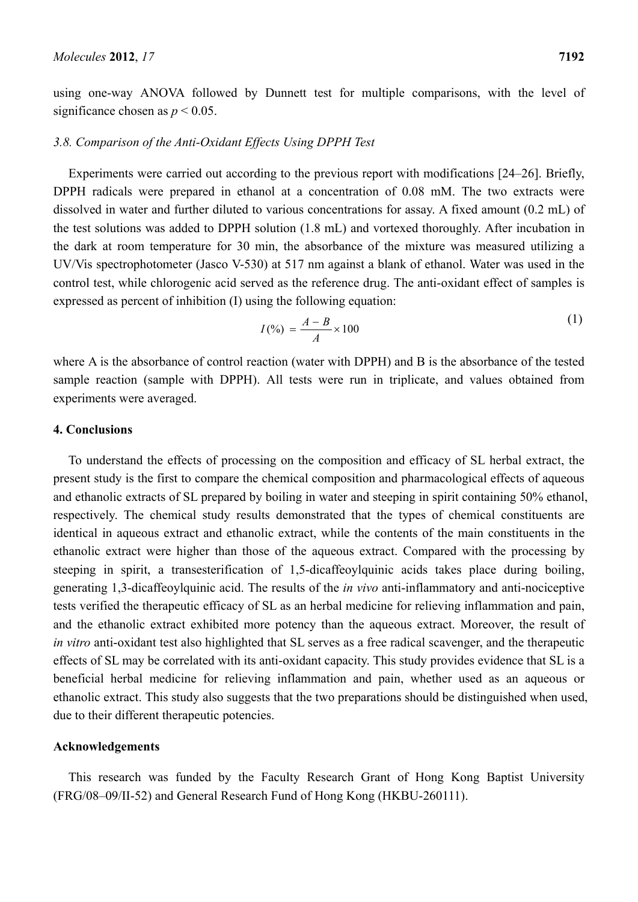using one-way ANOVA followed by Dunnett test for multiple comparisons, with the level of significance chosen as  $p < 0.05$ .

#### *3.8. Comparison of the Anti-Oxidant Effects Using DPPH Test*

Experiments were carried out according to the previous report with modifications [24–26]. Briefly, DPPH radicals were prepared in ethanol at a concentration of 0.08 mM. The two extracts were dissolved in water and further diluted to various concentrations for assay. A fixed amount (0.2 mL) of the test solutions was added to DPPH solution (1.8 mL) and vortexed thoroughly. After incubation in the dark at room temperature for 30 min, the absorbance of the mixture was measured utilizing a UV/Vis spectrophotometer (Jasco V-530) at 517 nm against a blank of ethanol. Water was used in the control test, while chlorogenic acid served as the reference drug. The anti-oxidant effect of samples is expressed as percent of inhibition (I) using the following equation:

$$
I(\%) = \frac{A - B}{A} \times 100
$$
 (1)

where A is the absorbance of control reaction (water with DPPH) and B is the absorbance of the tested sample reaction (sample with DPPH). All tests were run in triplicate, and values obtained from experiments were averaged.

#### **4. Conclusions**

To understand the effects of processing on the composition and efficacy of SL herbal extract, the present study is the first to compare the chemical composition and pharmacological effects of aqueous and ethanolic extracts of SL prepared by boiling in water and steeping in spirit containing 50% ethanol, respectively. The chemical study results demonstrated that the types of chemical constituents are identical in aqueous extract and ethanolic extract, while the contents of the main constituents in the ethanolic extract were higher than those of the aqueous extract. Compared with the processing by steeping in spirit, a transesterification of 1.5-dicaffeovlauinic acids takes place during boiling. generating 1,3-dicaffeoylquinic acid. The results of the *in vivo* anti-inflammatory and anti-nociceptive tests verified the therapeutic efficacy of SL as an herbal medicine for relieving inflammation and pain, and the ethanolic extract exhibited more potency than the aqueous extract. Moreover, the result of *in vitro* anti-oxidant test also highlighted that SL serves as a free radical scavenger, and the therapeutic effects of SL may be correlated with its anti-oxidant capacity. This study provides evidence that SL is a beneficial herbal medicine for relieving inflammation and pain, whether used as an aqueous or ethanolic extract. This study also suggests that the two preparations should be distinguished when used, due to their different therapeutic potencies.

#### **Acknowledgements**

This research was funded by the Faculty Research Grant of Hong Kong Baptist University (FRG/08–09/II-52) and General Research Fund of Hong Kong (HKBU-260111).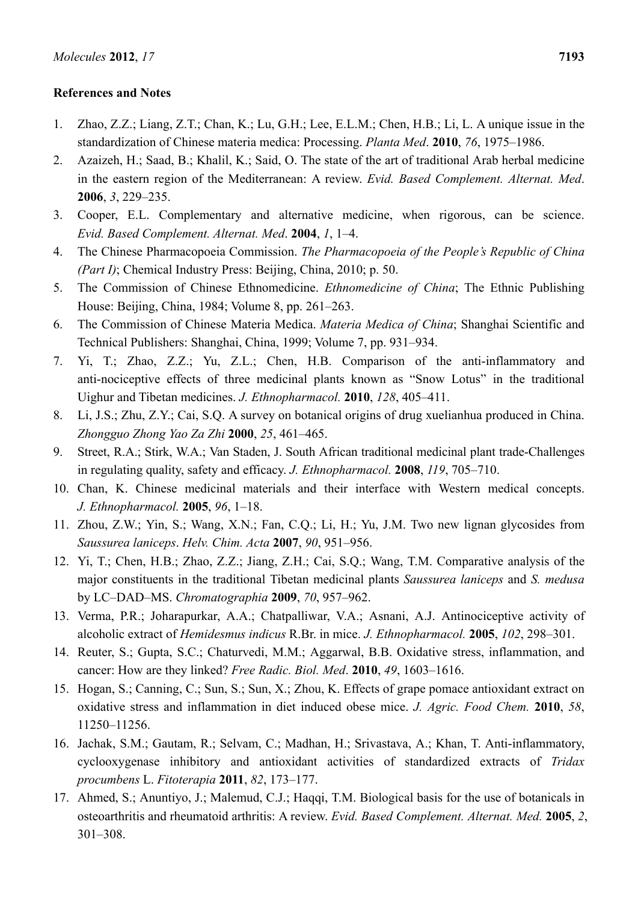#### **References and Notes**

- 1. Zhao, Z.Z.; Liang, Z.T.; Chan, K.; Lu, G.H.; Lee, E.L.M.; Chen, H.B.; Li, L. A unique issue in the standardization of Chinese materia medica: Processing. *Planta Med*. **2010**, *76*, 1975–1986.
- 2. Azaizeh, H.; Saad, B.; Khalil, K.; Said, O. The state of the art of traditional Arab herbal medicine in the eastern region of the Mediterranean: A review. *Evid. Based Complement. Alternat. Med*. **2006**, *3*, 229–235.
- 3. Cooper, E.L. Complementary and alternative medicine, when rigorous, can be science. *Evid. Based Complement. Alternat. Med*. **2004**, *1*, 1–4.
- 4. The Chinese Pharmacopoeia Commission. *The Pharmacopoeia of the People's Republic of China (Part I)*; Chemical Industry Press: Beijing, China, 2010; p. 50.
- 5. The Commission of Chinese Ethnomedicine. *Ethnomedicine of China*; The Ethnic Publishing House: Beijing, China, 1984; Volume 8, pp. 261–263.
- 6. The Commission of Chinese Materia Medica. *Materia Medica of China*; Shanghai Scientific and Technical Publishers: Shanghai, China, 1999; Volume 7, pp. 931–934.
- 7. Yi, T.; Zhao, Z.Z.; Yu, Z.L.; Chen, H.B. Comparison of the anti-inflammatory and anti-nociceptive effects of three medicinal plants known as "Snow Lotus" in the traditional Uighur and Tibetan medicines. *J. Ethnopharmacol.* **2010**, *128*, 405–411.
- 8. Li, J.S.; Zhu, Z.Y.; Cai, S.Q. A survey on botanical origins of drug xuelianhua produced in China. *Zhongguo Zhong Yao Za Zhi* **2000**, *25*, 461–465.
- 9. Street, R.A.; Stirk, W.A.; Van Staden, J. South African traditional medicinal plant trade-Challenges in regulating quality, safety and efficacy. *J. Ethnopharmacol.* **2008**, *119*, 705–710.
- 10. Chan, K. Chinese medicinal materials and their interface with Western medical concepts. *J. Ethnopharmacol.* **2005**, *96*, 1–18.
- 11. Zhou, Z.W.; Yin, S.; Wang, X.N.; Fan, C.Q.; Li, H.; Yu, J.M. Two new lignan glycosides from *Saussurea laniceps*. *Helv. Chim. Acta* **2007**, *90*, 951–956.
- 12. Yi, T.; Chen, H.B.; Zhao, Z.Z.; Jiang, Z.H.; Cai, S.Q.; Wang, T.M. Comparative analysis of the major constituents in the traditional Tibetan medicinal plants *Saussurea laniceps* and *S. medusa* by LC–DAD–MS. *Chromatographia* **2009**, *70*, 957–962.
- 13. Verma, P.R.; Joharapurkar, A.A.; Chatpalliwar, V.A.; Asnani, A.J. Antinociceptive activity of alcoholic extract of *Hemidesmus indicus* R.Br. in mice. *J. Ethnopharmacol.* **2005**, *102*, 298–301.
- 14. Reuter, S.; Gupta, S.C.; Chaturvedi, M.M.; Aggarwal, B.B. Oxidative stress, inflammation, and cancer: How are they linked? *Free Radic. Biol. Med*. **2010**, *49*, 1603–1616.
- 15. Hogan, S.; Canning, C.; Sun, S.; Sun, X.; Zhou, K. Effects of grape pomace antioxidant extract on oxidative stress and inflammation in diet induced obese mice. *J. Agric. Food Chem.* **2010**, *58*, 11250–11256.
- 16. Jachak, S.M.; Gautam, R.; Selvam, C.; Madhan, H.; Srivastava, A.; Khan, T. Anti-inflammatory, cyclooxygenase inhibitory and antioxidant activities of standardized extracts of *Tridax procumbens* L. *Fitoterapia* **2011**, *82*, 173–177.
- 17. Ahmed, S.; Anuntiyo, J.; Malemud, C.J.; Haqqi, T.M. Biological basis for the use of botanicals in osteoarthritis and rheumatoid arthritis: A review. *Evid. Based Complement. Alternat. Med.* **2005**, *2*, 301–308.